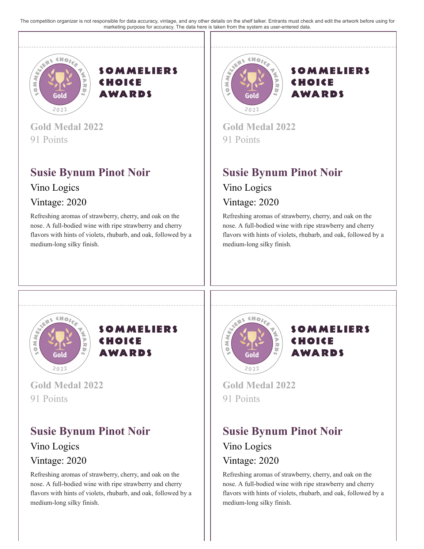The competition organizer is not responsible for data accuracy, vintage, and any other details on the shelf talker. Entrants must check and edit the artwork before using for marketing purpose for accuracy. The data here is taken from the system as user-entered data.





**Gold Medal 2022** 91 Points

## **Susie Bynum Pinot Noir**

Vino Logics

#### Vintage: 2020

Refreshing aromas of strawberry, cherry, and oak on the nose. A full-bodied wine with ripe strawberry and cherry flavors with hints of violets, rhubarb, and oak, followed by a medium-long silky finish.



#### **SOMMELIERS** CHOICE **AWARDS**

**Gold Medal 2022** 91 Points

# **Susie Bynum Pinot Noir**

Vino Logics Vintage: 2020

Refreshing aromas of strawberry, cherry, and oak on the nose. A full-bodied wine with ripe strawberry and cherry flavors with hints of violets, rhubarb, and oak, followed by a medium-long silky finish.





**Gold Medal 2022** 91 Points

### **Susie Bynum Pinot Noir** Vino Logics

### Vintage: 2020

Refreshing aromas of strawberry, cherry, and oak on the nose. A full-bodied wine with ripe strawberry and cherry flavors with hints of violets, rhubarb, and oak, followed by a medium-long silky finish.





**Gold Medal 2022** 91 Points

# **Susie Bynum Pinot Noir**

Vino Logics Vintage: 2020

Refreshing aromas of strawberry, cherry, and oak on the nose. A full-bodied wine with ripe strawberry and cherry flavors with hints of violets, rhubarb, and oak, followed by a medium-long silky finish.